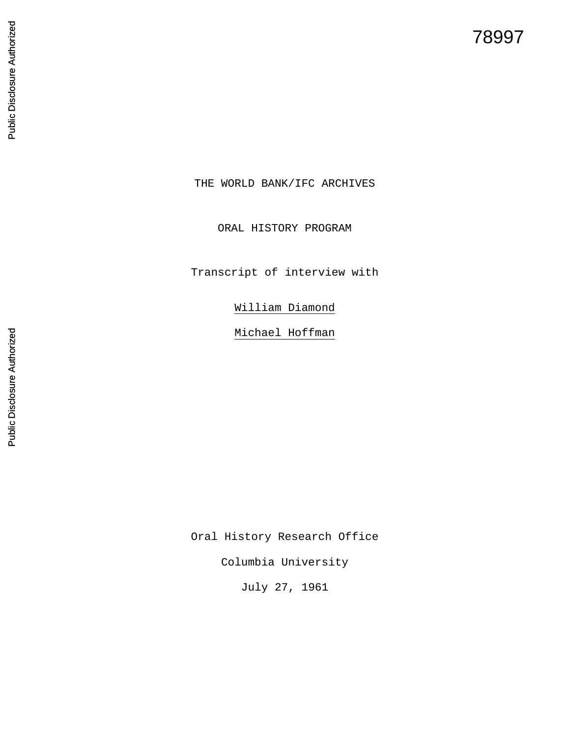# 78997

Public Disclosure Authorized Public Disclosure Authorized THE WORLD BANK/IFC ARCHIVES

ORAL HISTORY PROGRAM

Transcript of interview with

William Diamond

Michael Hoffman

Oral History Research Office

Columbia University

July 27, 1961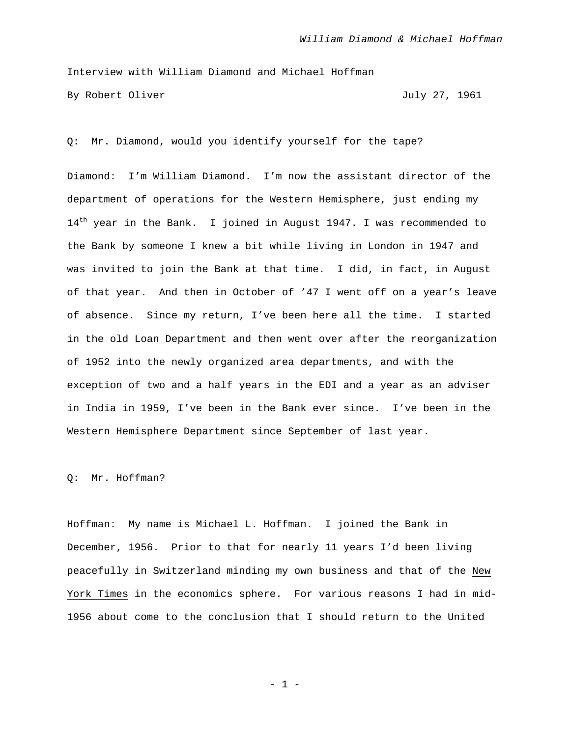Interview with William Diamond and Michael Hoffman By Robert Oliver July 27, 1961

Q: Mr. Diamond, would you identify yourself for the tape?

Diamond: I'm William Diamond. I'm now the assistant director of the department of operations for the Western Hemisphere, just ending my 14<sup>th</sup> year in the Bank. I joined in August 1947. I was recommended to the Bank by someone I knew a bit while living in London in 1947 and was invited to join the Bank at that time. I did, in fact, in August of that year. And then in October of '47 I went off on a year's leave of absence. Since my return, I've been here all the time. I started in the old Loan Department and then went over after the reorganization of 1952 into the newly organized area departments, and with the exception of two and a half years in the EDI and a year as an adviser in India in 1959, I've been in the Bank ever since. I've been in the Western Hemisphere Department since September of last year.

Q: Mr. Hoffman?

Hoffman: My name is Michael L. Hoffman. I joined the Bank in December, 1956. Prior to that for nearly 11 years I'd been living peacefully in Switzerland minding my own business and that of the New York Times in the economics sphere. For various reasons I had in mid-1956 about come to the conclusion that I should return to the United

- 1 -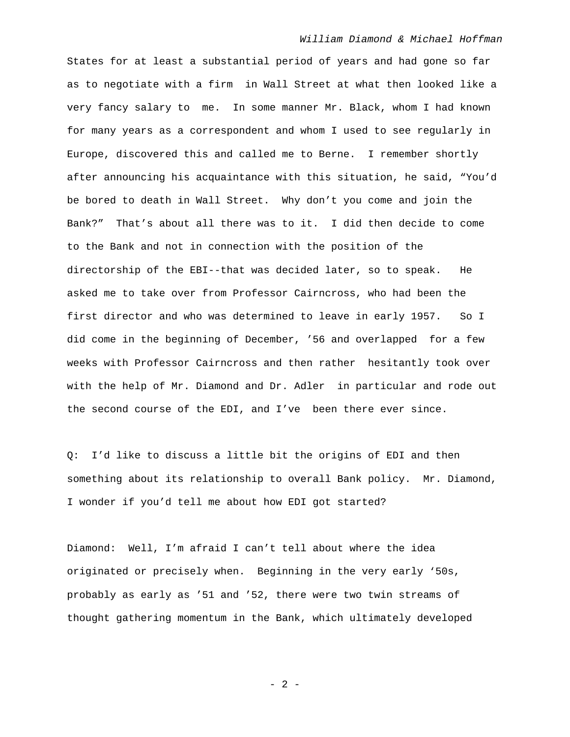States for at least a substantial period of years and had gone so far as to negotiate with a firm in Wall Street at what then looked like a very fancy salary to me. In some manner Mr. Black, whom I had known for many years as a correspondent and whom I used to see regularly in Europe, discovered this and called me to Berne. I remember shortly after announcing his acquaintance with this situation, he said, "You'd be bored to death in Wall Street. Why don't you come and join the Bank?" That's about all there was to it. I did then decide to come to the Bank and not in connection with the position of the directorship of the EBI--that was decided later, so to speak. He asked me to take over from Professor Cairncross, who had been the first director and who was determined to leave in early 1957. So I did come in the beginning of December, '56 and overlapped for a few weeks with Professor Cairncross and then rather hesitantly took over with the help of Mr. Diamond and Dr. Adler in particular and rode out the second course of the EDI, and I've been there ever since.

Q: I'd like to discuss a little bit the origins of EDI and then something about its relationship to overall Bank policy. Mr. Diamond, I wonder if you'd tell me about how EDI got started?

Diamond: Well, I'm afraid I can't tell about where the idea originated or precisely when. Beginning in the very early '50s, probably as early as '51 and '52, there were two twin streams of thought gathering momentum in the Bank, which ultimately developed

- 2 -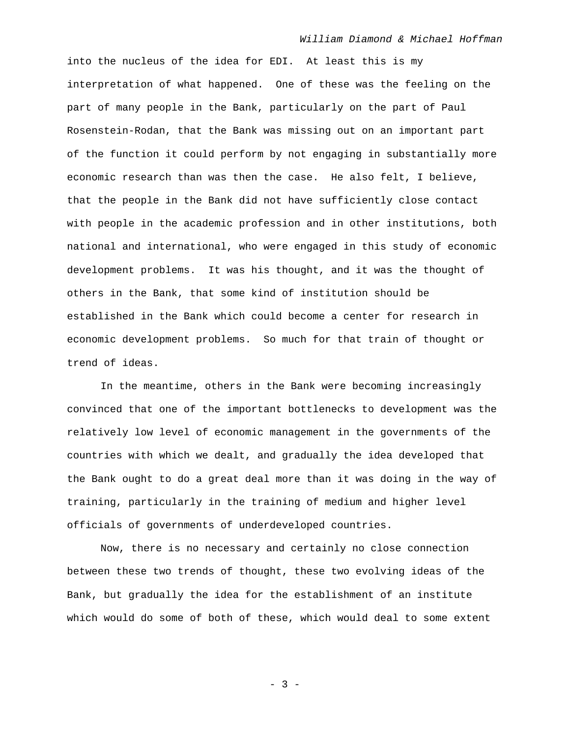into the nucleus of the idea for EDI. At least this is my interpretation of what happened. One of these was the feeling on the part of many people in the Bank, particularly on the part of Paul Rosenstein-Rodan, that the Bank was missing out on an important part of the function it could perform by not engaging in substantially more economic research than was then the case. He also felt, I believe, that the people in the Bank did not have sufficiently close contact with people in the academic profession and in other institutions, both national and international, who were engaged in this study of economic development problems. It was his thought, and it was the thought of others in the Bank, that some kind of institution should be established in the Bank which could become a center for research in economic development problems. So much for that train of thought or trend of ideas.

In the meantime, others in the Bank were becoming increasingly convinced that one of the important bottlenecks to development was the relatively low level of economic management in the governments of the countries with which we dealt, and gradually the idea developed that the Bank ought to do a great deal more than it was doing in the way of training, particularly in the training of medium and higher level officials of governments of underdeveloped countries.

Now, there is no necessary and certainly no close connection between these two trends of thought, these two evolving ideas of the Bank, but gradually the idea for the establishment of an institute which would do some of both of these, which would deal to some extent

- 3 -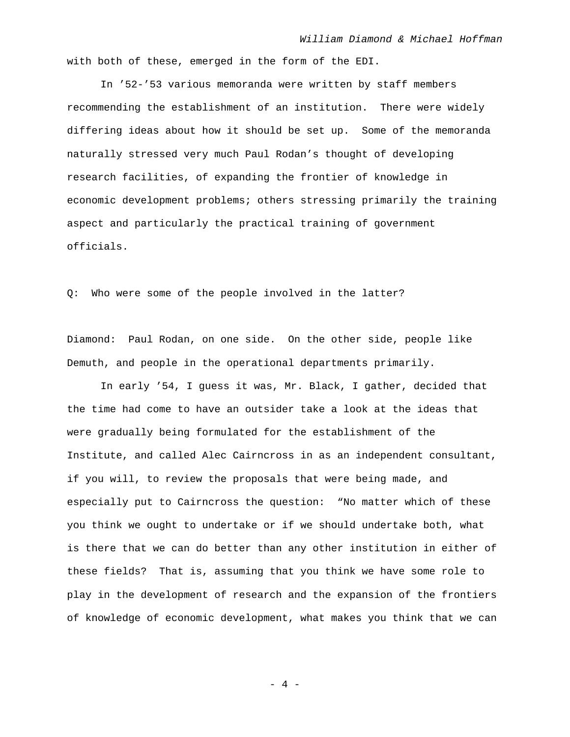with both of these, emerged in the form of the EDI.

In '52-'53 various memoranda were written by staff members recommending the establishment of an institution. There were widely differing ideas about how it should be set up. Some of the memoranda naturally stressed very much Paul Rodan's thought of developing research facilities, of expanding the frontier of knowledge in economic development problems; others stressing primarily the training aspect and particularly the practical training of government officials.

Q: Who were some of the people involved in the latter?

Diamond: Paul Rodan, on one side. On the other side, people like Demuth, and people in the operational departments primarily.

 In early '54, I guess it was, Mr. Black, I gather, decided that the time had come to have an outsider take a look at the ideas that were gradually being formulated for the establishment of the Institute, and called Alec Cairncross in as an independent consultant, if you will, to review the proposals that were being made, and especially put to Cairncross the question: "No matter which of these you think we ought to undertake or if we should undertake both, what is there that we can do better than any other institution in either of these fields? That is, assuming that you think we have some role to play in the development of research and the expansion of the frontiers of knowledge of economic development, what makes you think that we can

- 4 -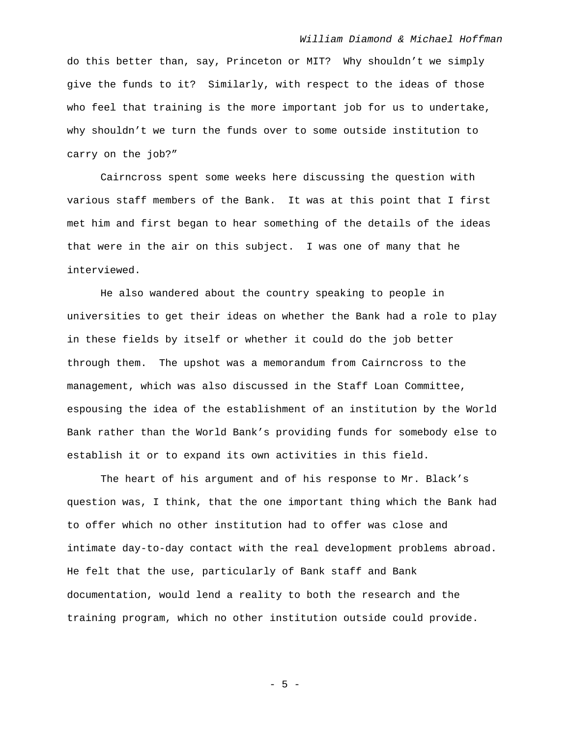do this better than, say, Princeton or MIT? Why shouldn't we simply give the funds to it? Similarly, with respect to the ideas of those who feel that training is the more important job for us to undertake, why shouldn't we turn the funds over to some outside institution to carry on the job?"

Cairncross spent some weeks here discussing the question with various staff members of the Bank. It was at this point that I first met him and first began to hear something of the details of the ideas that were in the air on this subject. I was one of many that he interviewed.

He also wandered about the country speaking to people in universities to get their ideas on whether the Bank had a role to play in these fields by itself or whether it could do the job better through them. The upshot was a memorandum from Cairncross to the management, which was also discussed in the Staff Loan Committee, espousing the idea of the establishment of an institution by the World Bank rather than the World Bank's providing funds for somebody else to establish it or to expand its own activities in this field.

The heart of his argument and of his response to Mr. Black's question was, I think, that the one important thing which the Bank had to offer which no other institution had to offer was close and intimate day-to-day contact with the real development problems abroad. He felt that the use, particularly of Bank staff and Bank documentation, would lend a reality to both the research and the training program, which no other institution outside could provide.

- 5 -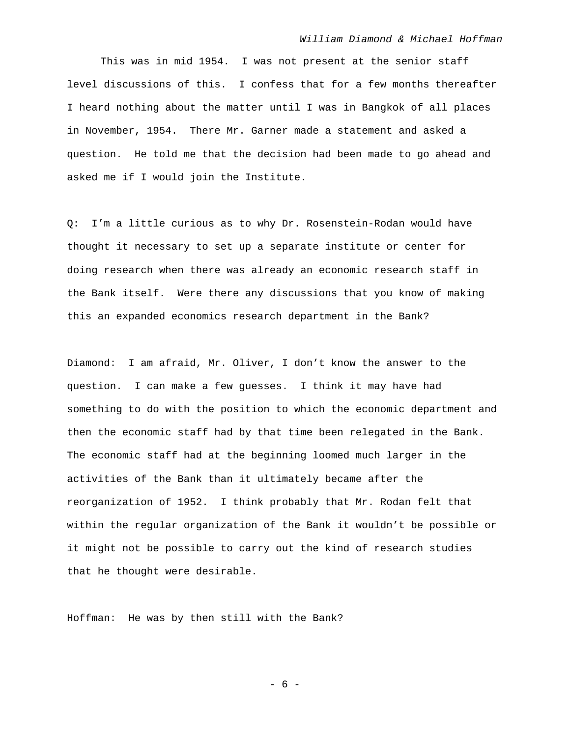This was in mid 1954. I was not present at the senior staff level discussions of this. I confess that for a few months thereafter I heard nothing about the matter until I was in Bangkok of all places in November, 1954. There Mr. Garner made a statement and asked a question. He told me that the decision had been made to go ahead and asked me if I would join the Institute.

Q: I'm a little curious as to why Dr. Rosenstein-Rodan would have thought it necessary to set up a separate institute or center for doing research when there was already an economic research staff in the Bank itself. Were there any discussions that you know of making this an expanded economics research department in the Bank?

Diamond: I am afraid, Mr. Oliver, I don't know the answer to the question. I can make a few guesses. I think it may have had something to do with the position to which the economic department and then the economic staff had by that time been relegated in the Bank. The economic staff had at the beginning loomed much larger in the activities of the Bank than it ultimately became after the reorganization of 1952. I think probably that Mr. Rodan felt that within the regular organization of the Bank it wouldn't be possible or it might not be possible to carry out the kind of research studies that he thought were desirable.

Hoffman: He was by then still with the Bank?

- 6 -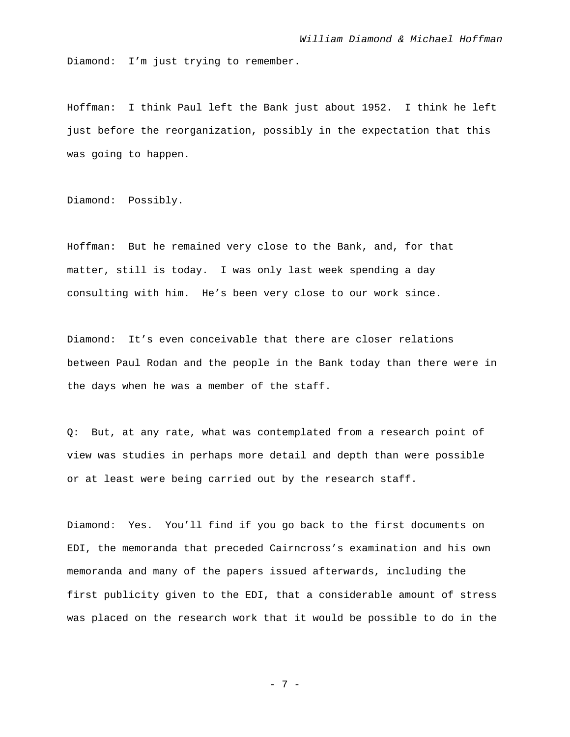Diamond: I'm just trying to remember.

Hoffman: I think Paul left the Bank just about 1952. I think he left just before the reorganization, possibly in the expectation that this was going to happen.

Diamond: Possibly.

Hoffman: But he remained very close to the Bank, and, for that matter, still is today. I was only last week spending a day consulting with him. He's been very close to our work since.

Diamond: It's even conceivable that there are closer relations between Paul Rodan and the people in the Bank today than there were in the days when he was a member of the staff.

Q: But, at any rate, what was contemplated from a research point of view was studies in perhaps more detail and depth than were possible or at least were being carried out by the research staff.

Diamond: Yes. You'll find if you go back to the first documents on EDI, the memoranda that preceded Cairncross's examination and his own memoranda and many of the papers issued afterwards, including the first publicity given to the EDI, that a considerable amount of stress was placed on the research work that it would be possible to do in the

- 7 -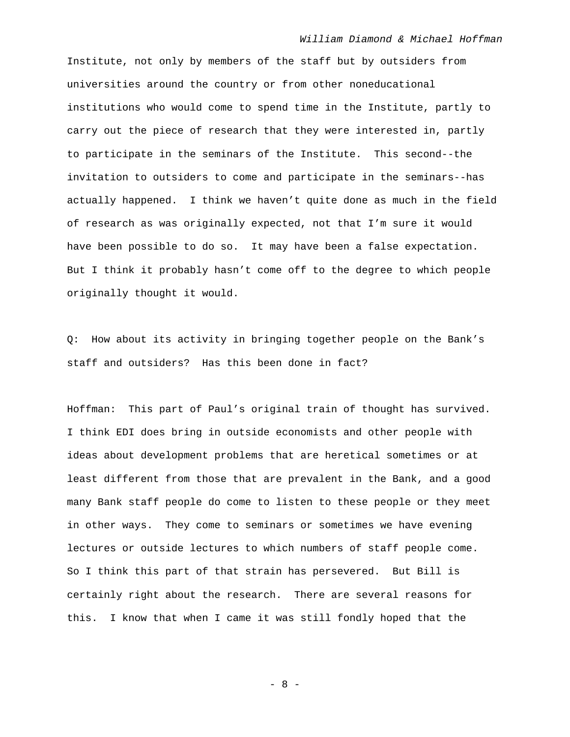Institute, not only by members of the staff but by outsiders from universities around the country or from other noneducational institutions who would come to spend time in the Institute, partly to carry out the piece of research that they were interested in, partly to participate in the seminars of the Institute. This second--the invitation to outsiders to come and participate in the seminars--has actually happened. I think we haven't quite done as much in the field of research as was originally expected, not that I'm sure it would have been possible to do so. It may have been a false expectation. But I think it probably hasn't come off to the degree to which people originally thought it would.

Q: How about its activity in bringing together people on the Bank's staff and outsiders? Has this been done in fact?

Hoffman: This part of Paul's original train of thought has survived. I think EDI does bring in outside economists and other people with ideas about development problems that are heretical sometimes or at least different from those that are prevalent in the Bank, and a good many Bank staff people do come to listen to these people or they meet in other ways. They come to seminars or sometimes we have evening lectures or outside lectures to which numbers of staff people come. So I think this part of that strain has persevered. But Bill is certainly right about the research. There are several reasons for this. I know that when I came it was still fondly hoped that the

- 8 -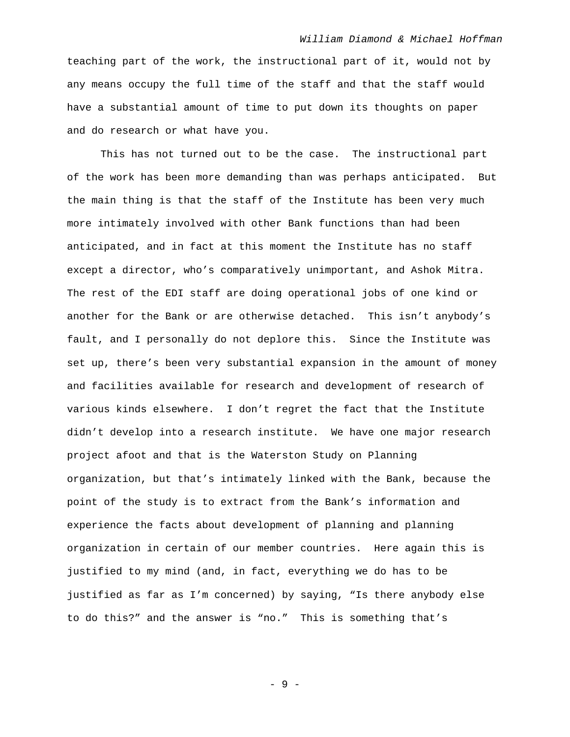teaching part of the work, the instructional part of it, would not by any means occupy the full time of the staff and that the staff would have a substantial amount of time to put down its thoughts on paper and do research or what have you.

This has not turned out to be the case. The instructional part of the work has been more demanding than was perhaps anticipated. But the main thing is that the staff of the Institute has been very much more intimately involved with other Bank functions than had been anticipated, and in fact at this moment the Institute has no staff except a director, who's comparatively unimportant, and Ashok Mitra. The rest of the EDI staff are doing operational jobs of one kind or another for the Bank or are otherwise detached. This isn't anybody's fault, and I personally do not deplore this. Since the Institute was set up, there's been very substantial expansion in the amount of money and facilities available for research and development of research of various kinds elsewhere. I don't regret the fact that the Institute didn't develop into a research institute. We have one major research project afoot and that is the Waterston Study on Planning organization, but that's intimately linked with the Bank, because the point of the study is to extract from the Bank's information and experience the facts about development of planning and planning organization in certain of our member countries. Here again this is justified to my mind (and, in fact, everything we do has to be justified as far as I'm concerned) by saying, "Is there anybody else to do this?" and the answer is "no." This is something that's

- 9 -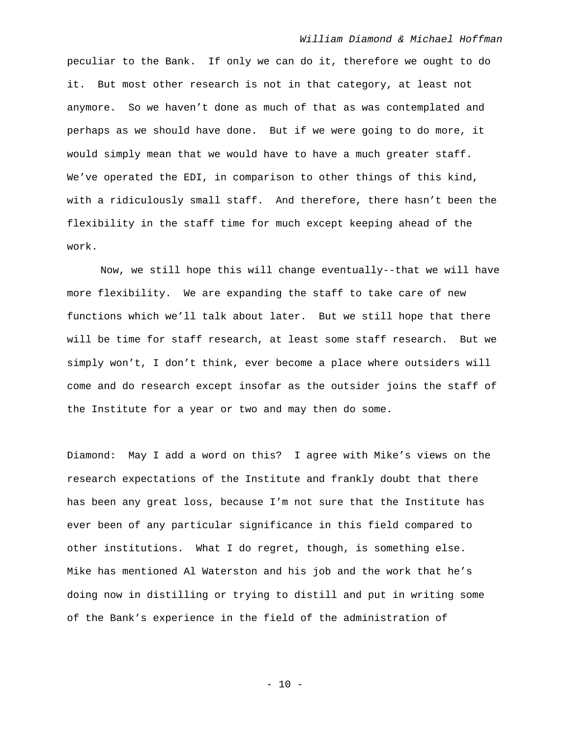peculiar to the Bank. If only we can do it, therefore we ought to do it. But most other research is not in that category, at least not anymore. So we haven't done as much of that as was contemplated and perhaps as we should have done. But if we were going to do more, it would simply mean that we would have to have a much greater staff. We've operated the EDI, in comparison to other things of this kind, with a ridiculously small staff. And therefore, there hasn't been the flexibility in the staff time for much except keeping ahead of the work.

Now, we still hope this will change eventually--that we will have more flexibility. We are expanding the staff to take care of new functions which we'll talk about later. But we still hope that there will be time for staff research, at least some staff research. But we simply won't, I don't think, ever become a place where outsiders will come and do research except insofar as the outsider joins the staff of the Institute for a year or two and may then do some.

Diamond: May I add a word on this? I agree with Mike's views on the research expectations of the Institute and frankly doubt that there has been any great loss, because I'm not sure that the Institute has ever been of any particular significance in this field compared to other institutions. What I do regret, though, is something else. Mike has mentioned Al Waterston and his job and the work that he's doing now in distilling or trying to distill and put in writing some of the Bank's experience in the field of the administration of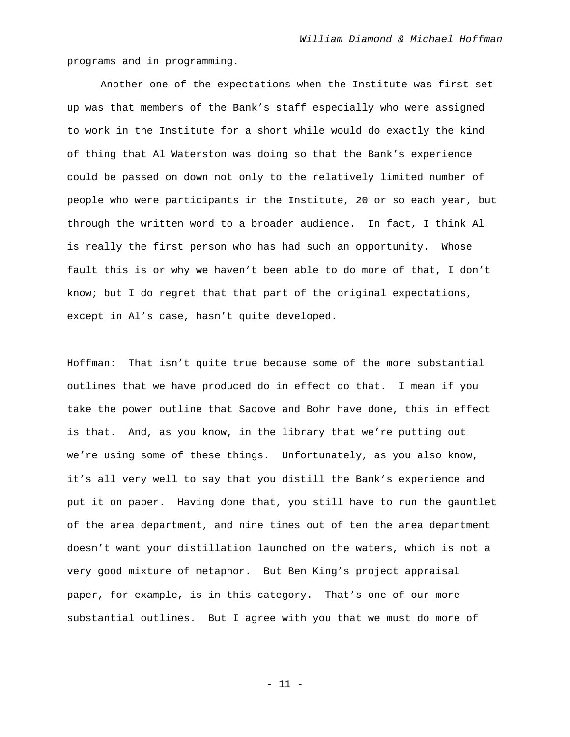programs and in programming.

Another one of the expectations when the Institute was first set up was that members of the Bank's staff especially who were assigned to work in the Institute for a short while would do exactly the kind of thing that Al Waterston was doing so that the Bank's experience could be passed on down not only to the relatively limited number of people who were participants in the Institute, 20 or so each year, but through the written word to a broader audience. In fact, I think Al is really the first person who has had such an opportunity. Whose fault this is or why we haven't been able to do more of that, I don't know; but I do regret that that part of the original expectations, except in Al's case, hasn't quite developed.

Hoffman: That isn't quite true because some of the more substantial outlines that we have produced do in effect do that. I mean if you take the power outline that Sadove and Bohr have done, this in effect is that. And, as you know, in the library that we're putting out we're using some of these things. Unfortunately, as you also know, it's all very well to say that you distill the Bank's experience and put it on paper. Having done that, you still have to run the gauntlet of the area department, and nine times out of ten the area department doesn't want your distillation launched on the waters, which is not a very good mixture of metaphor. But Ben King's project appraisal paper, for example, is in this category. That's one of our more substantial outlines. But I agree with you that we must do more of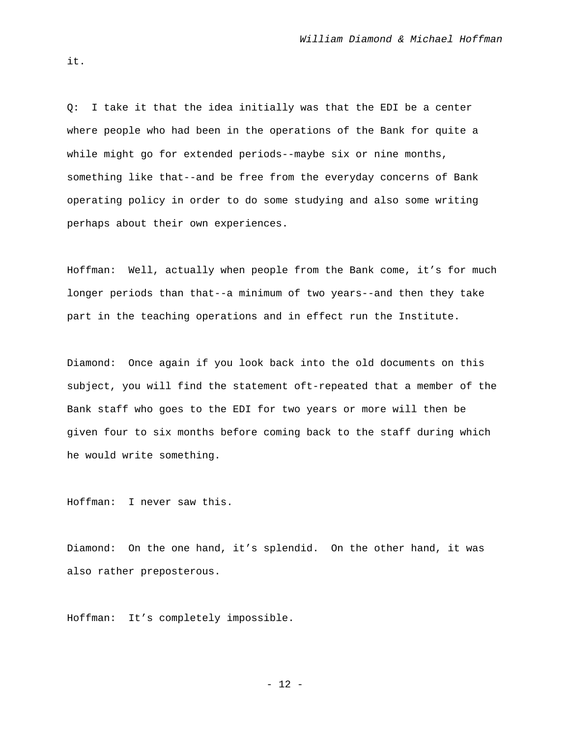Q: I take it that the idea initially was that the EDI be a center where people who had been in the operations of the Bank for quite a while might go for extended periods--maybe six or nine months, something like that--and be free from the everyday concerns of Bank operating policy in order to do some studying and also some writing perhaps about their own experiences.

Hoffman: Well, actually when people from the Bank come, it's for much longer periods than that--a minimum of two years--and then they take part in the teaching operations and in effect run the Institute.

Diamond: Once again if you look back into the old documents on this subject, you will find the statement oft-repeated that a member of the Bank staff who goes to the EDI for two years or more will then be given four to six months before coming back to the staff during which he would write something.

Hoffman: I never saw this.

Diamond: On the one hand, it's splendid. On the other hand, it was also rather preposterous.

Hoffman: It's completely impossible.

- 12 -

it.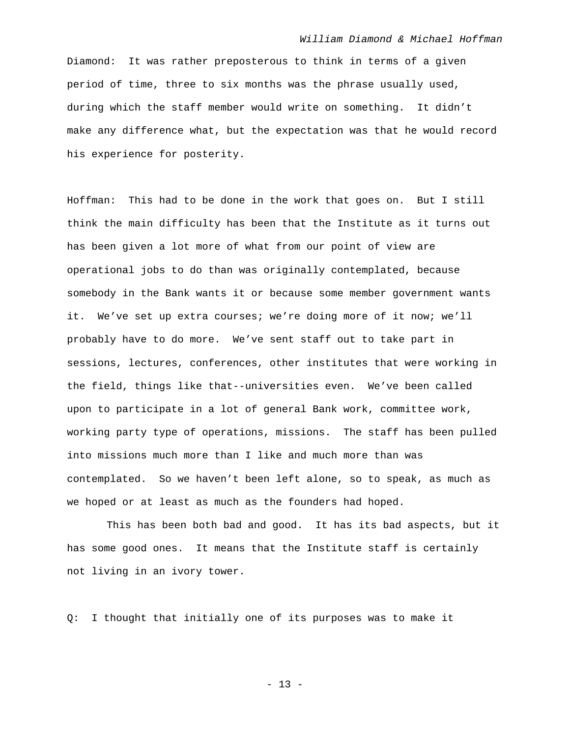Diamond: It was rather preposterous to think in terms of a given period of time, three to six months was the phrase usually used, during which the staff member would write on something. It didn't make any difference what, but the expectation was that he would record his experience for posterity.

Hoffman: This had to be done in the work that goes on. But I still think the main difficulty has been that the Institute as it turns out has been given a lot more of what from our point of view are operational jobs to do than was originally contemplated, because somebody in the Bank wants it or because some member government wants it. We've set up extra courses; we're doing more of it now; we'll probably have to do more. We've sent staff out to take part in sessions, lectures, conferences, other institutes that were working in the field, things like that--universities even. We've been called upon to participate in a lot of general Bank work, committee work, working party type of operations, missions. The staff has been pulled into missions much more than I like and much more than was contemplated. So we haven't been left alone, so to speak, as much as we hoped or at least as much as the founders had hoped.

 This has been both bad and good. It has its bad aspects, but it has some good ones. It means that the Institute staff is certainly not living in an ivory tower.

Q: I thought that initially one of its purposes was to make it

- 13 -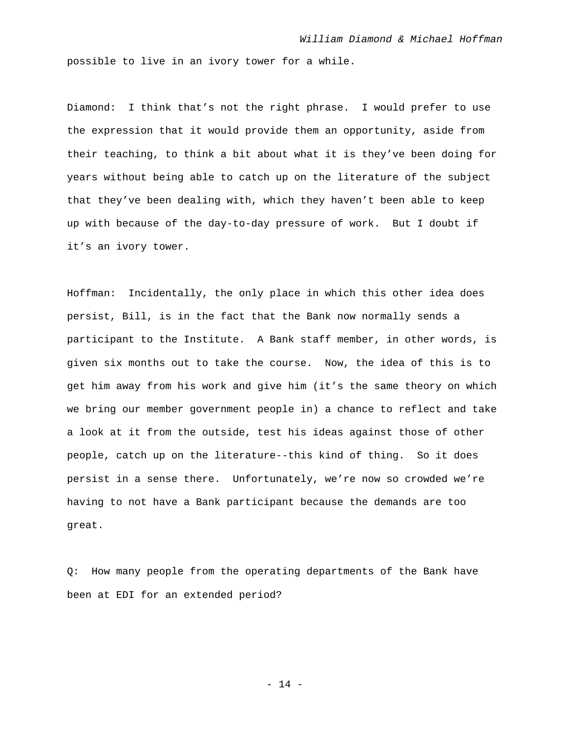possible to live in an ivory tower for a while.

Diamond: I think that's not the right phrase. I would prefer to use the expression that it would provide them an opportunity, aside from their teaching, to think a bit about what it is they've been doing for years without being able to catch up on the literature of the subject that they've been dealing with, which they haven't been able to keep up with because of the day-to-day pressure of work. But I doubt if it's an ivory tower.

Hoffman: Incidentally, the only place in which this other idea does persist, Bill, is in the fact that the Bank now normally sends a participant to the Institute. A Bank staff member, in other words, is given six months out to take the course. Now, the idea of this is to get him away from his work and give him (it's the same theory on which we bring our member government people in) a chance to reflect and take a look at it from the outside, test his ideas against those of other people, catch up on the literature--this kind of thing. So it does persist in a sense there. Unfortunately, we're now so crowded we're having to not have a Bank participant because the demands are too great.

Q: How many people from the operating departments of the Bank have been at EDI for an extended period?

- 14 -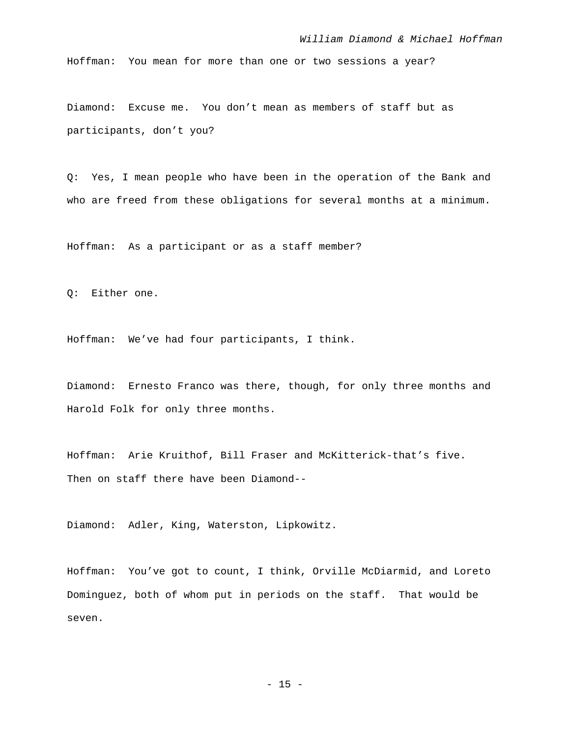Hoffman: You mean for more than one or two sessions a year?

Diamond: Excuse me. You don't mean as members of staff but as participants, don't you?

Q: Yes, I mean people who have been in the operation of the Bank and who are freed from these obligations for several months at a minimum.

Hoffman: As a participant or as a staff member?

Q: Either one.

Hoffman: We've had four participants, I think.

Diamond: Ernesto Franco was there, though, for only three months and Harold Folk for only three months.

Hoffman: Arie Kruithof, Bill Fraser and McKitterick-that's five. Then on staff there have been Diamond--

Diamond: Adler, King, Waterston, Lipkowitz.

Hoffman: You've got to count, I think, Orville McDiarmid, and Loreto Dominguez, both of whom put in periods on the staff. That would be seven.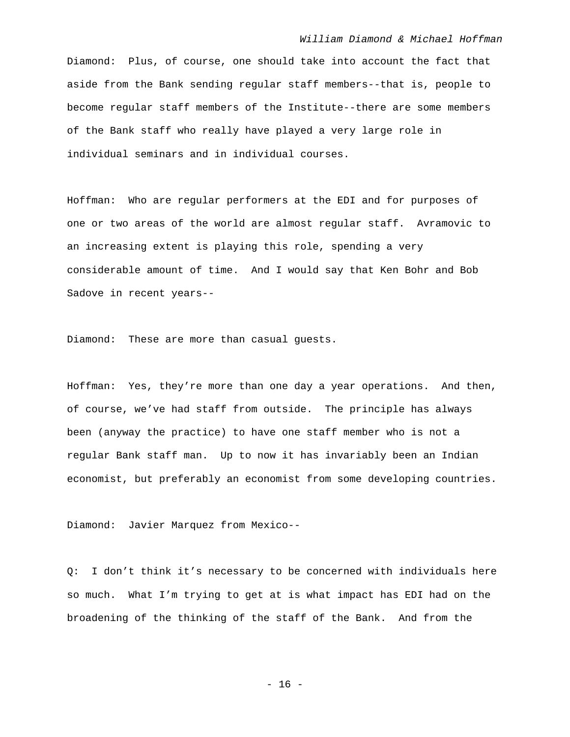Diamond: Plus, of course, one should take into account the fact that aside from the Bank sending regular staff members--that is, people to become regular staff members of the Institute--there are some members of the Bank staff who really have played a very large role in individual seminars and in individual courses.

Hoffman: Who are regular performers at the EDI and for purposes of one or two areas of the world are almost regular staff. Avramovic to an increasing extent is playing this role, spending a very considerable amount of time. And I would say that Ken Bohr and Bob Sadove in recent years--

Diamond: These are more than casual guests.

Hoffman: Yes, they're more than one day a year operations. And then, of course, we've had staff from outside. The principle has always been (anyway the practice) to have one staff member who is not a regular Bank staff man. Up to now it has invariably been an Indian economist, but preferably an economist from some developing countries.

Diamond: Javier Marquez from Mexico--

Q: I don't think it's necessary to be concerned with individuals here so much. What I'm trying to get at is what impact has EDI had on the broadening of the thinking of the staff of the Bank. And from the

- 16 -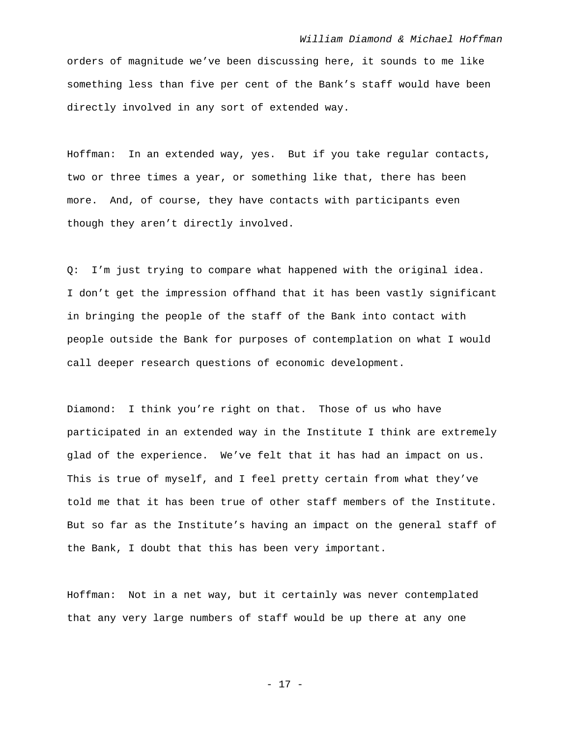orders of magnitude we've been discussing here, it sounds to me like something less than five per cent of the Bank's staff would have been directly involved in any sort of extended way.

Hoffman: In an extended way, yes. But if you take regular contacts, two or three times a year, or something like that, there has been more. And, of course, they have contacts with participants even though they aren't directly involved.

Q: I'm just trying to compare what happened with the original idea. I don't get the impression offhand that it has been vastly significant in bringing the people of the staff of the Bank into contact with people outside the Bank for purposes of contemplation on what I would call deeper research questions of economic development.

Diamond: I think you're right on that. Those of us who have participated in an extended way in the Institute I think are extremely glad of the experience. We've felt that it has had an impact on us. This is true of myself, and I feel pretty certain from what they've told me that it has been true of other staff members of the Institute. But so far as the Institute's having an impact on the general staff of the Bank, I doubt that this has been very important.

Hoffman: Not in a net way, but it certainly was never contemplated that any very large numbers of staff would be up there at any one

- 17 -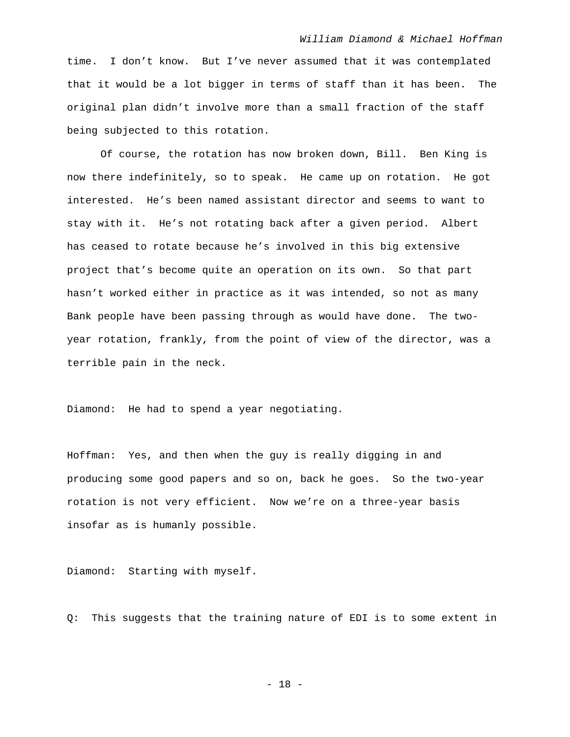time. I don't know. But I've never assumed that it was contemplated that it would be a lot bigger in terms of staff than it has been. The original plan didn't involve more than a small fraction of the staff being subjected to this rotation.

 Of course, the rotation has now broken down, Bill. Ben King is now there indefinitely, so to speak. He came up on rotation. He got interested. He's been named assistant director and seems to want to stay with it. He's not rotating back after a given period. Albert has ceased to rotate because he's involved in this big extensive project that's become quite an operation on its own. So that part hasn't worked either in practice as it was intended, so not as many Bank people have been passing through as would have done. The twoyear rotation, frankly, from the point of view of the director, was a terrible pain in the neck.

Diamond: He had to spend a year negotiating.

Hoffman: Yes, and then when the guy is really digging in and producing some good papers and so on, back he goes. So the two-year rotation is not very efficient. Now we're on a three-year basis insofar as is humanly possible.

Diamond: Starting with myself.

Q: This suggests that the training nature of EDI is to some extent in

- 18 -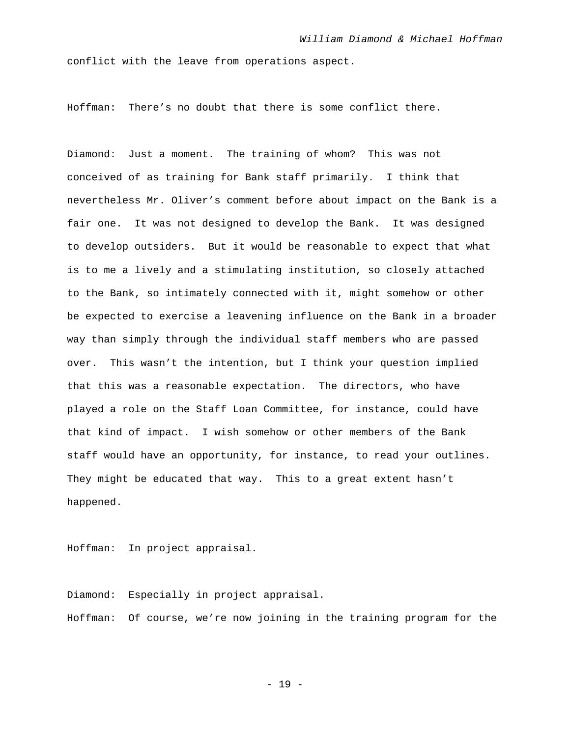conflict with the leave from operations aspect.

Hoffman: There's no doubt that there is some conflict there.

Diamond: Just a moment. The training of whom? This was not conceived of as training for Bank staff primarily. I think that nevertheless Mr. Oliver's comment before about impact on the Bank is a fair one. It was not designed to develop the Bank. It was designed to develop outsiders. But it would be reasonable to expect that what is to me a lively and a stimulating institution, so closely attached to the Bank, so intimately connected with it, might somehow or other be expected to exercise a leavening influence on the Bank in a broader way than simply through the individual staff members who are passed over. This wasn't the intention, but I think your question implied that this was a reasonable expectation. The directors, who have played a role on the Staff Loan Committee, for instance, could have that kind of impact. I wish somehow or other members of the Bank staff would have an opportunity, for instance, to read your outlines. They might be educated that way. This to a great extent hasn't happened.

Hoffman: In project appraisal.

Diamond: Especially in project appraisal. Hoffman: Of course, we're now joining in the training program for the

- 19 -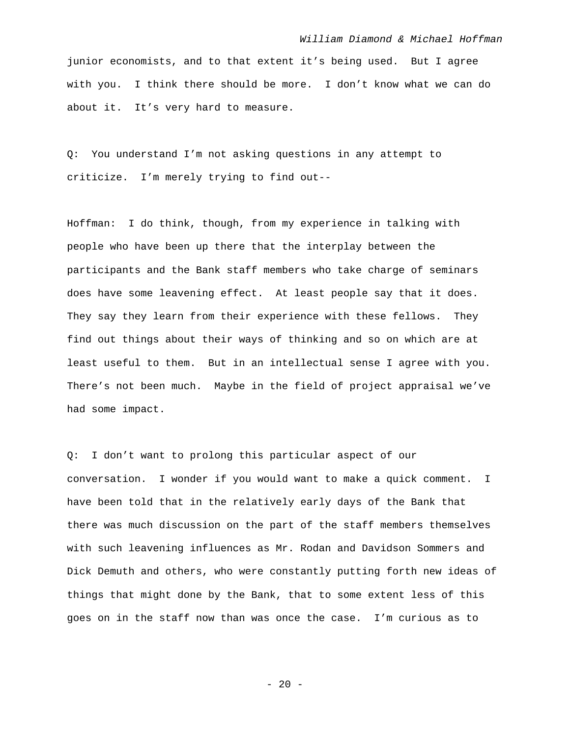junior economists, and to that extent it's being used. But I agree with you. I think there should be more. I don't know what we can do about it. It's very hard to measure.

Q: You understand I'm not asking questions in any attempt to criticize. I'm merely trying to find out--

Hoffman: I do think, though, from my experience in talking with people who have been up there that the interplay between the participants and the Bank staff members who take charge of seminars does have some leavening effect. At least people say that it does. They say they learn from their experience with these fellows. They find out things about their ways of thinking and so on which are at least useful to them. But in an intellectual sense I agree with you. There's not been much. Maybe in the field of project appraisal we've had some impact.

Q: I don't want to prolong this particular aspect of our conversation. I wonder if you would want to make a quick comment. I have been told that in the relatively early days of the Bank that there was much discussion on the part of the staff members themselves with such leavening influences as Mr. Rodan and Davidson Sommers and Dick Demuth and others, who were constantly putting forth new ideas of things that might done by the Bank, that to some extent less of this goes on in the staff now than was once the case. I'm curious as to

- 20 -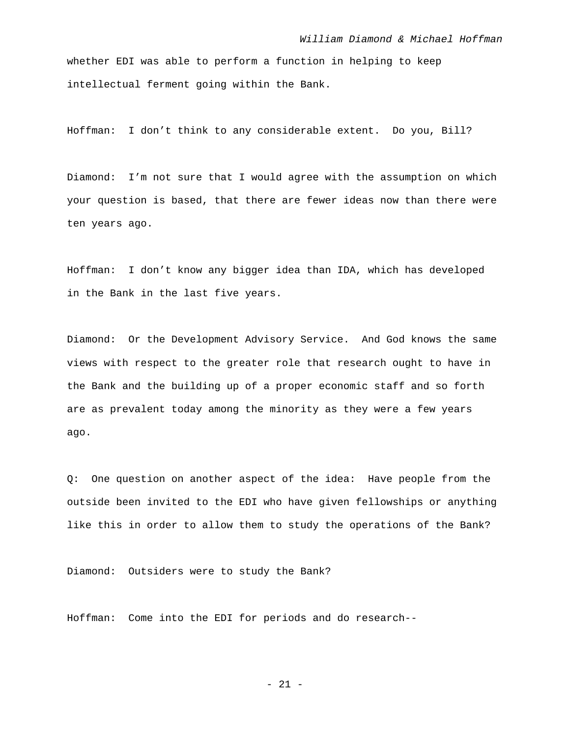whether EDI was able to perform a function in helping to keep intellectual ferment going within the Bank.

Hoffman: I don't think to any considerable extent. Do you, Bill?

Diamond: I'm not sure that I would agree with the assumption on which your question is based, that there are fewer ideas now than there were ten years ago.

Hoffman: I don't know any bigger idea than IDA, which has developed in the Bank in the last five years.

Diamond: Or the Development Advisory Service. And God knows the same views with respect to the greater role that research ought to have in the Bank and the building up of a proper economic staff and so forth are as prevalent today among the minority as they were a few years ago.

Q: One question on another aspect of the idea: Have people from the outside been invited to the EDI who have given fellowships or anything like this in order to allow them to study the operations of the Bank?

Diamond: Outsiders were to study the Bank?

Hoffman: Come into the EDI for periods and do research--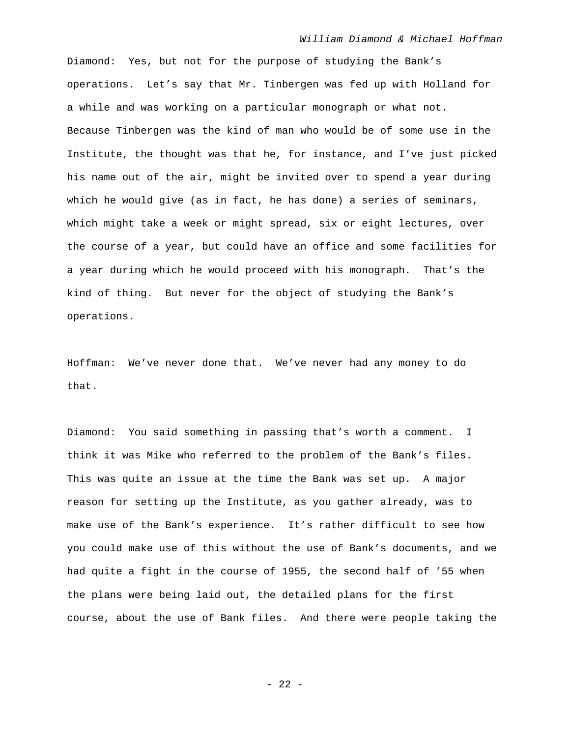Diamond: Yes, but not for the purpose of studying the Bank's operations. Let's say that Mr. Tinbergen was fed up with Holland for a while and was working on a particular monograph or what not. Because Tinbergen was the kind of man who would be of some use in the Institute, the thought was that he, for instance, and I've just picked his name out of the air, might be invited over to spend a year during which he would give (as in fact, he has done) a series of seminars, which might take a week or might spread, six or eight lectures, over the course of a year, but could have an office and some facilities for a year during which he would proceed with his monograph. That's the kind of thing. But never for the object of studying the Bank's operations.

Hoffman: We've never done that. We've never had any money to do that.

Diamond: You said something in passing that's worth a comment. I think it was Mike who referred to the problem of the Bank's files. This was quite an issue at the time the Bank was set up. A major reason for setting up the Institute, as you gather already, was to make use of the Bank's experience. It's rather difficult to see how you could make use of this without the use of Bank's documents, and we had quite a fight in the course of 1955, the second half of '55 when the plans were being laid out, the detailed plans for the first course, about the use of Bank files. And there were people taking the

- 22 -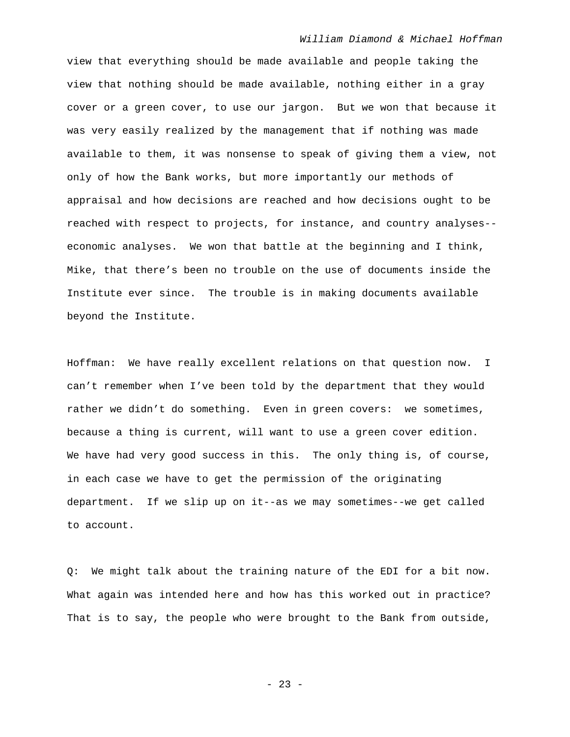view that everything should be made available and people taking the view that nothing should be made available, nothing either in a gray cover or a green cover, to use our jargon. But we won that because it was very easily realized by the management that if nothing was made available to them, it was nonsense to speak of giving them a view, not only of how the Bank works, but more importantly our methods of appraisal and how decisions are reached and how decisions ought to be reached with respect to projects, for instance, and country analyses- economic analyses. We won that battle at the beginning and I think, Mike, that there's been no trouble on the use of documents inside the Institute ever since. The trouble is in making documents available beyond the Institute.

Hoffman: We have really excellent relations on that question now. I can't remember when I've been told by the department that they would rather we didn't do something. Even in green covers: we sometimes, because a thing is current, will want to use a green cover edition. We have had very good success in this. The only thing is, of course, in each case we have to get the permission of the originating department. If we slip up on it--as we may sometimes--we get called to account.

Q: We might talk about the training nature of the EDI for a bit now. What again was intended here and how has this worked out in practice? That is to say, the people who were brought to the Bank from outside,

- 23 -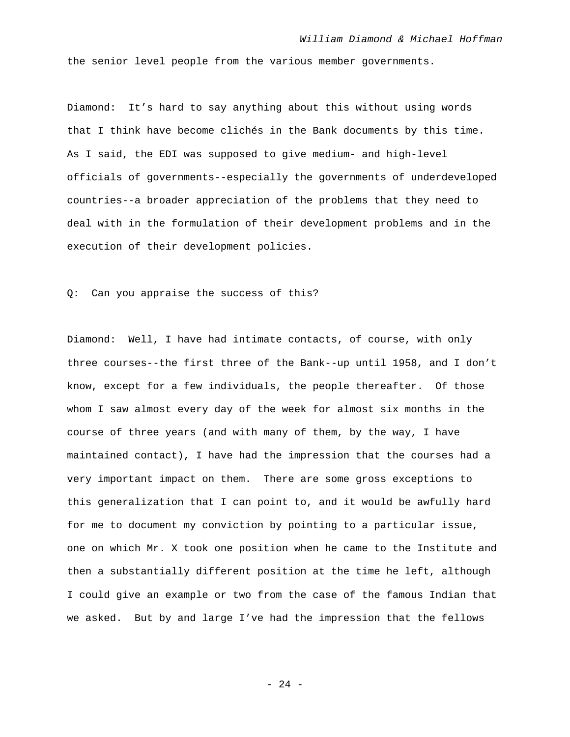the senior level people from the various member governments.

Diamond: It's hard to say anything about this without using words that I think have become clichés in the Bank documents by this time. As I said, the EDI was supposed to give medium- and high-level officials of governments--especially the governments of underdeveloped countries--a broader appreciation of the problems that they need to deal with in the formulation of their development problems and in the execution of their development policies.

Q: Can you appraise the success of this?

Diamond: Well, I have had intimate contacts, of course, with only three courses--the first three of the Bank--up until 1958, and I don't know, except for a few individuals, the people thereafter. Of those whom I saw almost every day of the week for almost six months in the course of three years (and with many of them, by the way, I have maintained contact), I have had the impression that the courses had a very important impact on them. There are some gross exceptions to this generalization that I can point to, and it would be awfully hard for me to document my conviction by pointing to a particular issue, one on which Mr. X took one position when he came to the Institute and then a substantially different position at the time he left, although I could give an example or two from the case of the famous Indian that we asked. But by and large I've had the impression that the fellows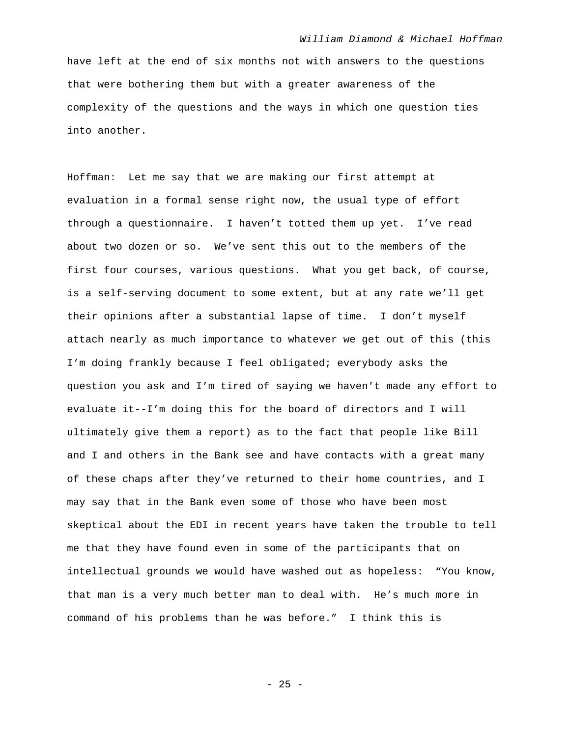have left at the end of six months not with answers to the questions that were bothering them but with a greater awareness of the complexity of the questions and the ways in which one question ties into another.

Hoffman: Let me say that we are making our first attempt at evaluation in a formal sense right now, the usual type of effort through a questionnaire. I haven't totted them up yet. I've read about two dozen or so. We've sent this out to the members of the first four courses, various questions. What you get back, of course, is a self-serving document to some extent, but at any rate we'll get their opinions after a substantial lapse of time. I don't myself attach nearly as much importance to whatever we get out of this (this I'm doing frankly because I feel obligated; everybody asks the question you ask and I'm tired of saying we haven't made any effort to evaluate it--I'm doing this for the board of directors and I will ultimately give them a report) as to the fact that people like Bill and I and others in the Bank see and have contacts with a great many of these chaps after they've returned to their home countries, and I may say that in the Bank even some of those who have been most skeptical about the EDI in recent years have taken the trouble to tell me that they have found even in some of the participants that on intellectual grounds we would have washed out as hopeless: "You know, that man is a very much better man to deal with. He's much more in command of his problems than he was before." I think this is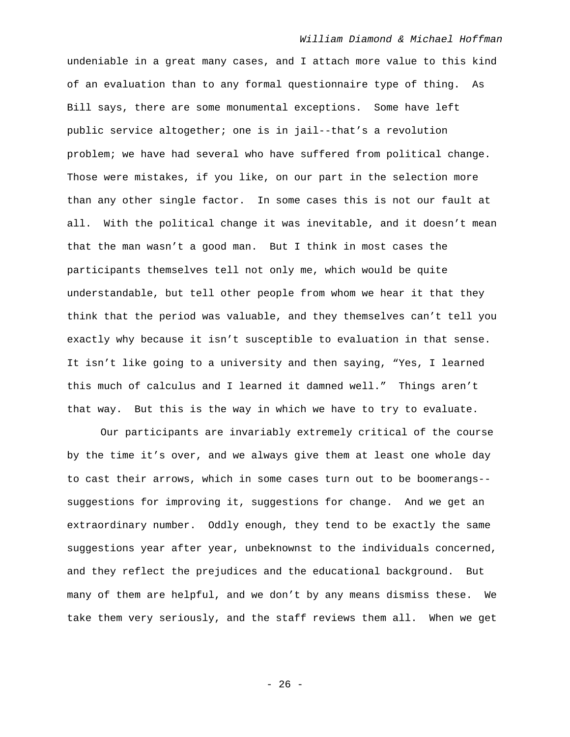undeniable in a great many cases, and I attach more value to this kind of an evaluation than to any formal questionnaire type of thing. As Bill says, there are some monumental exceptions. Some have left public service altogether; one is in jail--that's a revolution problem; we have had several who have suffered from political change. Those were mistakes, if you like, on our part in the selection more than any other single factor. In some cases this is not our fault at all. With the political change it was inevitable, and it doesn't mean that the man wasn't a good man. But I think in most cases the participants themselves tell not only me, which would be quite understandable, but tell other people from whom we hear it that they think that the period was valuable, and they themselves can't tell you exactly why because it isn't susceptible to evaluation in that sense. It isn't like going to a university and then saying, "Yes, I learned this much of calculus and I learned it damned well." Things aren't that way. But this is the way in which we have to try to evaluate.

 Our participants are invariably extremely critical of the course by the time it's over, and we always give them at least one whole day to cast their arrows, which in some cases turn out to be boomerangs- suggestions for improving it, suggestions for change. And we get an extraordinary number. Oddly enough, they tend to be exactly the same suggestions year after year, unbeknownst to the individuals concerned, and they reflect the prejudices and the educational background. But many of them are helpful, and we don't by any means dismiss these. We take them very seriously, and the staff reviews them all. When we get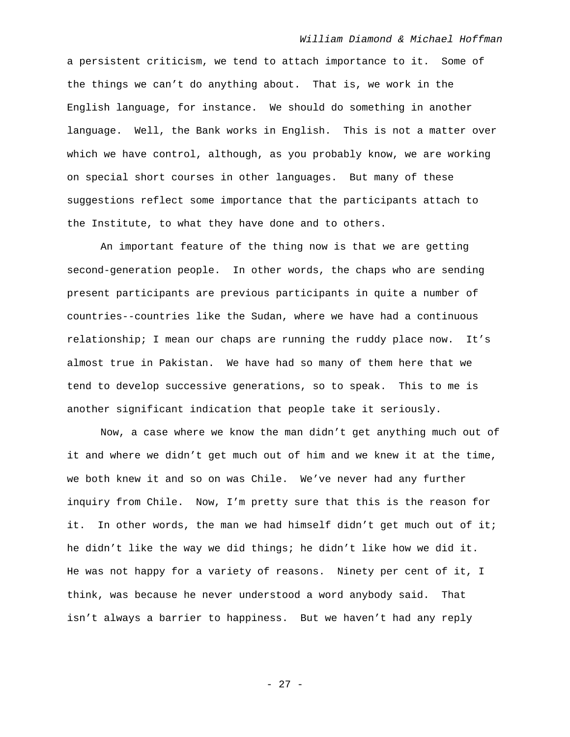a persistent criticism, we tend to attach importance to it. Some of the things we can't do anything about. That is, we work in the English language, for instance. We should do something in another language. Well, the Bank works in English. This is not a matter over which we have control, although, as you probably know, we are working on special short courses in other languages. But many of these suggestions reflect some importance that the participants attach to the Institute, to what they have done and to others.

 An important feature of the thing now is that we are getting second-generation people. In other words, the chaps who are sending present participants are previous participants in quite a number of countries--countries like the Sudan, where we have had a continuous relationship; I mean our chaps are running the ruddy place now. It's almost true in Pakistan. We have had so many of them here that we tend to develop successive generations, so to speak. This to me is another significant indication that people take it seriously.

 Now, a case where we know the man didn't get anything much out of it and where we didn't get much out of him and we knew it at the time, we both knew it and so on was Chile. We've never had any further inquiry from Chile. Now, I'm pretty sure that this is the reason for it. In other words, the man we had himself didn't get much out of it; he didn't like the way we did things; he didn't like how we did it. He was not happy for a variety of reasons. Ninety per cent of it, I think, was because he never understood a word anybody said. That isn't always a barrier to happiness. But we haven't had any reply

- 27 -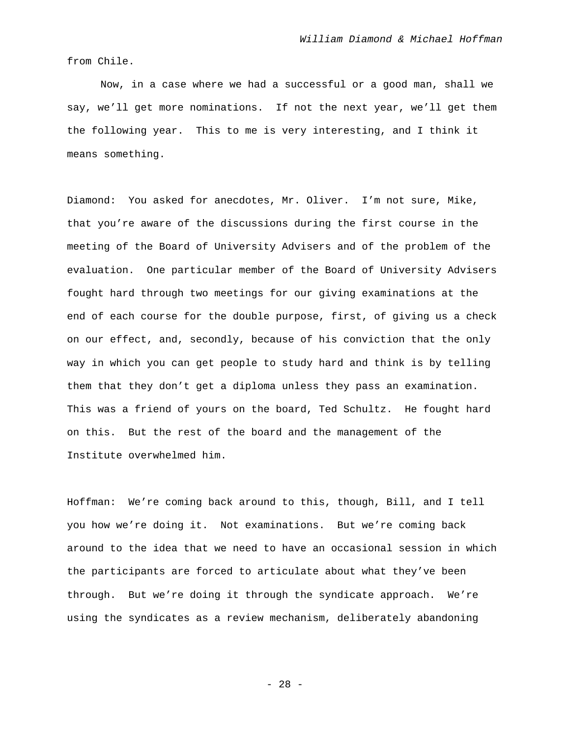from Chile.

 Now, in a case where we had a successful or a good man, shall we say, we'll get more nominations. If not the next year, we'll get them the following year. This to me is very interesting, and I think it means something.

Diamond: You asked for anecdotes, Mr. Oliver. I'm not sure, Mike, that you're aware of the discussions during the first course in the meeting of the Board of University Advisers and of the problem of the evaluation. One particular member of the Board of University Advisers fought hard through two meetings for our giving examinations at the end of each course for the double purpose, first, of giving us a check on our effect, and, secondly, because of his conviction that the only way in which you can get people to study hard and think is by telling them that they don't get a diploma unless they pass an examination. This was a friend of yours on the board, Ted Schultz. He fought hard on this. But the rest of the board and the management of the Institute overwhelmed him.

Hoffman: We're coming back around to this, though, Bill, and I tell you how we're doing it. Not examinations. But we're coming back around to the idea that we need to have an occasional session in which the participants are forced to articulate about what they've been through. But we're doing it through the syndicate approach. We're using the syndicates as a review mechanism, deliberately abandoning

- 28 -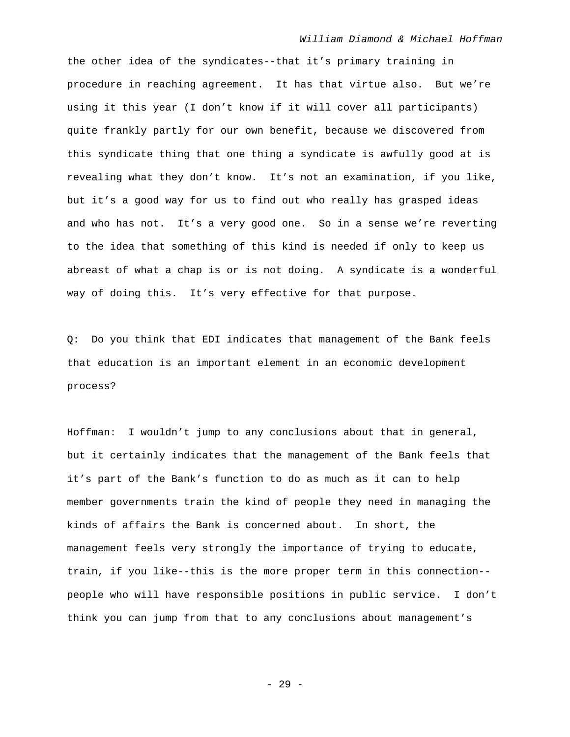the other idea of the syndicates--that it's primary training in procedure in reaching agreement. It has that virtue also. But we're using it this year (I don't know if it will cover all participants) quite frankly partly for our own benefit, because we discovered from this syndicate thing that one thing a syndicate is awfully good at is revealing what they don't know. It's not an examination, if you like, but it's a good way for us to find out who really has grasped ideas and who has not. It's a very good one. So in a sense we're reverting to the idea that something of this kind is needed if only to keep us abreast of what a chap is or is not doing. A syndicate is a wonderful way of doing this. It's very effective for that purpose.

Q: Do you think that EDI indicates that management of the Bank feels that education is an important element in an economic development process?

Hoffman: I wouldn't jump to any conclusions about that in general, but it certainly indicates that the management of the Bank feels that it's part of the Bank's function to do as much as it can to help member governments train the kind of people they need in managing the kinds of affairs the Bank is concerned about. In short, the management feels very strongly the importance of trying to educate, train, if you like--this is the more proper term in this connection- people who will have responsible positions in public service. I don't think you can jump from that to any conclusions about management's

- 29 -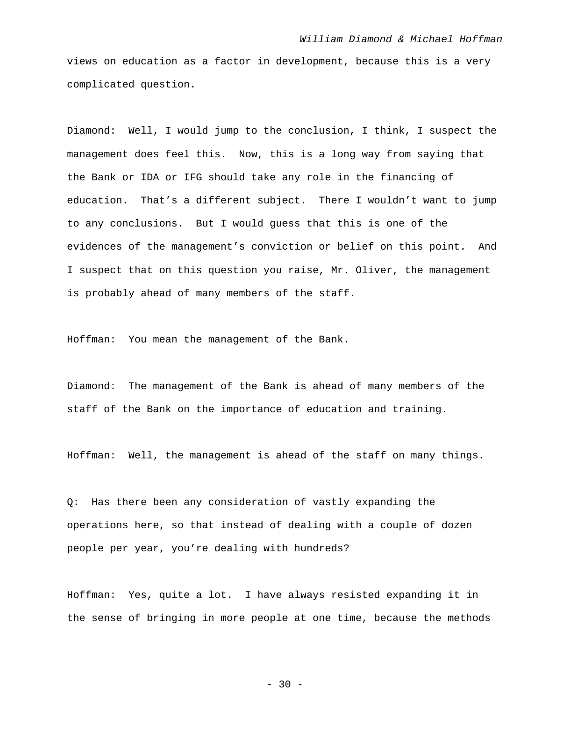views on education as a factor in development, because this is a very complicated question.

Diamond: Well, I would jump to the conclusion, I think, I suspect the management does feel this. Now, this is a long way from saying that the Bank or IDA or IFG should take any role in the financing of education. That's a different subject. There I wouldn't want to jump to any conclusions. But I would guess that this is one of the evidences of the management's conviction or belief on this point. And I suspect that on this question you raise, Mr. Oliver, the management is probably ahead of many members of the staff.

Hoffman: You mean the management of the Bank.

Diamond: The management of the Bank is ahead of many members of the staff of the Bank on the importance of education and training.

Hoffman: Well, the management is ahead of the staff on many things.

Q: Has there been any consideration of vastly expanding the operations here, so that instead of dealing with a couple of dozen people per year, you're dealing with hundreds?

Hoffman: Yes, quite a lot. I have always resisted expanding it in the sense of bringing in more people at one time, because the methods

- 30 -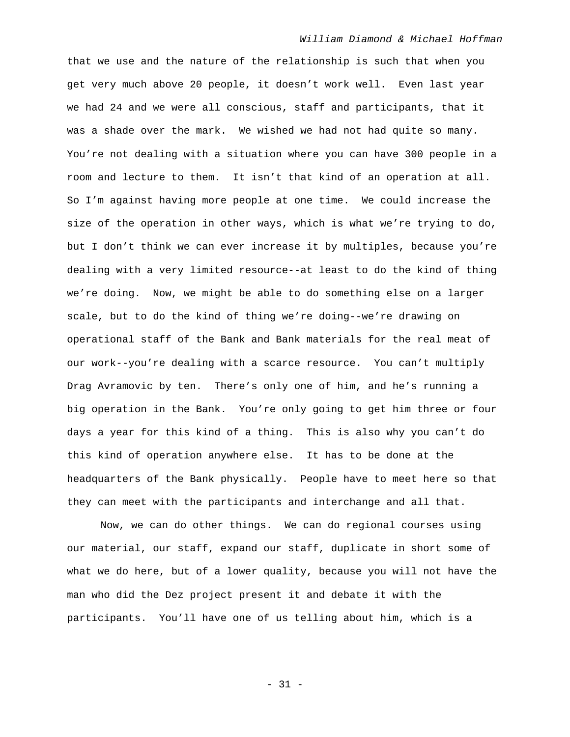that we use and the nature of the relationship is such that when you get very much above 20 people, it doesn't work well. Even last year we had 24 and we were all conscious, staff and participants, that it was a shade over the mark. We wished we had not had quite so many. You're not dealing with a situation where you can have 300 people in a room and lecture to them. It isn't that kind of an operation at all. So I'm against having more people at one time. We could increase the size of the operation in other ways, which is what we're trying to do, but I don't think we can ever increase it by multiples, because you're dealing with a very limited resource--at least to do the kind of thing we're doing. Now, we might be able to do something else on a larger scale, but to do the kind of thing we're doing--we're drawing on operational staff of the Bank and Bank materials for the real meat of our work--you're dealing with a scarce resource. You can't multiply Drag Avramovic by ten. There's only one of him, and he's running a big operation in the Bank. You're only going to get him three or four days a year for this kind of a thing. This is also why you can't do this kind of operation anywhere else. It has to be done at the headquarters of the Bank physically. People have to meet here so that they can meet with the participants and interchange and all that.

 Now, we can do other things. We can do regional courses using our material, our staff, expand our staff, duplicate in short some of what we do here, but of a lower quality, because you will not have the man who did the Dez project present it and debate it with the participants. You'll have one of us telling about him, which is a

- 31 -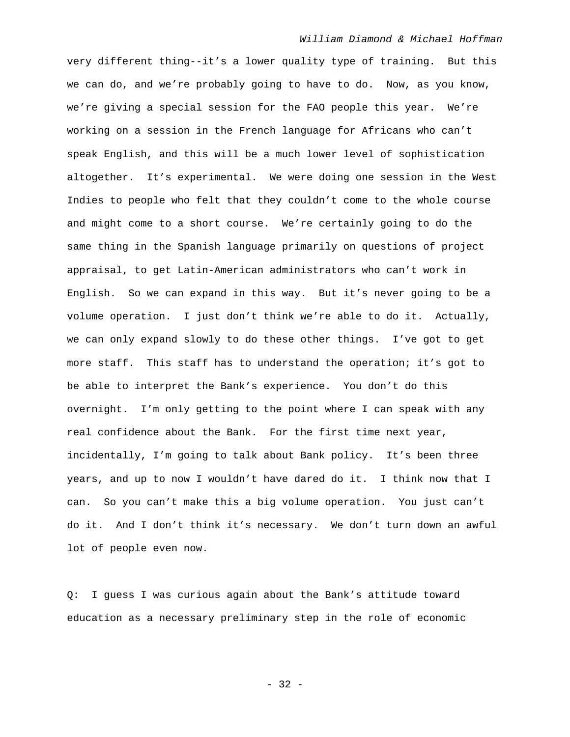very different thing--it's a lower quality type of training. But this we can do, and we're probably going to have to do. Now, as you know, we're giving a special session for the FAO people this year. We're working on a session in the French language for Africans who can't speak English, and this will be a much lower level of sophistication altogether. It's experimental. We were doing one session in the West Indies to people who felt that they couldn't come to the whole course and might come to a short course. We're certainly going to do the same thing in the Spanish language primarily on questions of project appraisal, to get Latin-American administrators who can't work in English. So we can expand in this way. But it's never going to be a volume operation. I just don't think we're able to do it. Actually, we can only expand slowly to do these other things. I've got to get more staff. This staff has to understand the operation; it's got to be able to interpret the Bank's experience. You don't do this overnight. I'm only getting to the point where I can speak with any real confidence about the Bank. For the first time next year, incidentally, I'm going to talk about Bank policy. It's been three years, and up to now I wouldn't have dared do it. I think now that I can. So you can't make this a big volume operation. You just can't do it. And I don't think it's necessary. We don't turn down an awful lot of people even now.

Q: I guess I was curious again about the Bank's attitude toward education as a necessary preliminary step in the role of economic

- 32 -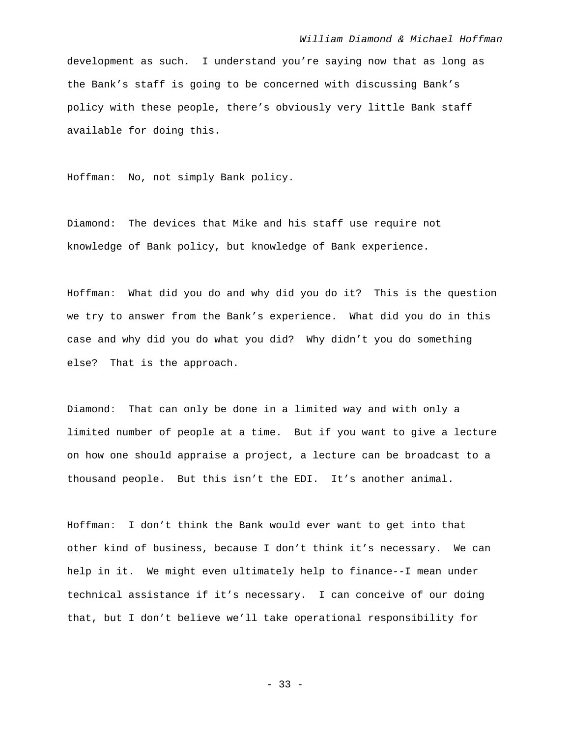development as such. I understand you're saying now that as long as the Bank's staff is going to be concerned with discussing Bank's policy with these people, there's obviously very little Bank staff available for doing this.

Hoffman: No, not simply Bank policy.

Diamond: The devices that Mike and his staff use require not knowledge of Bank policy, but knowledge of Bank experience.

Hoffman: What did you do and why did you do it? This is the question we try to answer from the Bank's experience. What did you do in this case and why did you do what you did? Why didn't you do something else? That is the approach.

Diamond: That can only be done in a limited way and with only a limited number of people at a time. But if you want to give a lecture on how one should appraise a project, a lecture can be broadcast to a thousand people. But this isn't the EDI. It's another animal.

Hoffman: I don't think the Bank would ever want to get into that other kind of business, because I don't think it's necessary. We can help in it. We might even ultimately help to finance--I mean under technical assistance if it's necessary. I can conceive of our doing that, but I don't believe we'll take operational responsibility for

- 33 -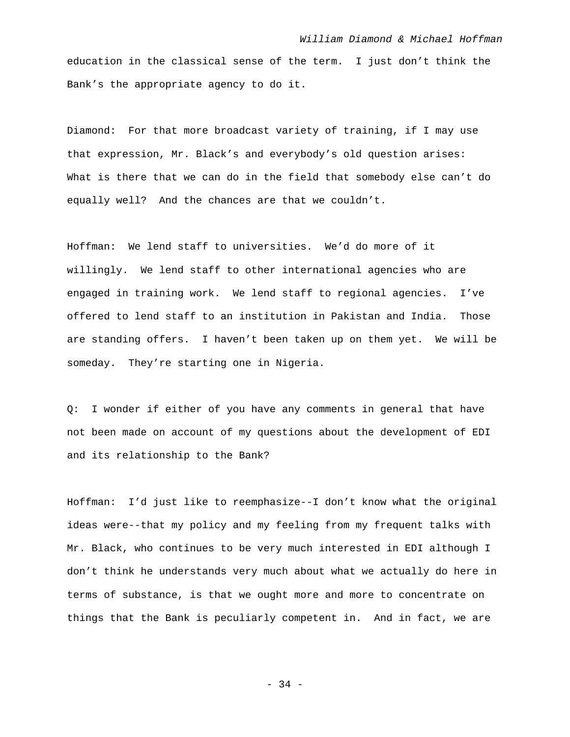education in the classical sense of the term. I just don't think the Bank's the appropriate agency to do it.

Diamond: For that more broadcast variety of training, if I may use that expression, Mr. Black's and everybody's old question arises: What is there that we can do in the field that somebody else can't do equally well? And the chances are that we couldn't.

Hoffman: We lend staff to universities. We'd do more of it willingly. We lend staff to other international agencies who are engaged in training work. We lend staff to regional agencies. I've offered to lend staff to an institution in Pakistan and India. Those are standing offers. I haven't been taken up on them yet. We will be someday. They're starting one in Nigeria.

Q: I wonder if either of you have any comments in general that have not been made on account of my questions about the development of EDI and its relationship to the Bank?

Hoffman: I'd just like to reemphasize--I don't know what the original ideas were--that my policy and my feeling from my frequent talks with Mr. Black, who continues to be very much interested in EDI although I don't think he understands very much about what we actually do here in terms of substance, is that we ought more and more to concentrate on things that the Bank is peculiarly competent in. And in fact, we are

- 34 -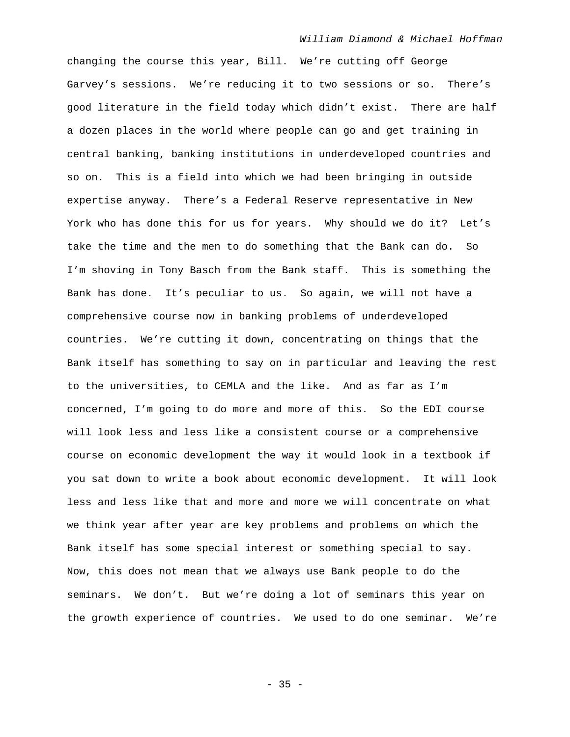changing the course this year, Bill. We're cutting off George Garvey's sessions. We're reducing it to two sessions or so. There's good literature in the field today which didn't exist. There are half a dozen places in the world where people can go and get training in central banking, banking institutions in underdeveloped countries and so on. This is a field into which we had been bringing in outside expertise anyway. There's a Federal Reserve representative in New York who has done this for us for years. Why should we do it? Let's take the time and the men to do something that the Bank can do. So I'm shoving in Tony Basch from the Bank staff. This is something the Bank has done. It's peculiar to us. So again, we will not have a comprehensive course now in banking problems of underdeveloped countries. We're cutting it down, concentrating on things that the Bank itself has something to say on in particular and leaving the rest to the universities, to CEMLA and the like. And as far as I'm concerned, I'm going to do more and more of this. So the EDI course will look less and less like a consistent course or a comprehensive course on economic development the way it would look in a textbook if you sat down to write a book about economic development. It will look less and less like that and more and more we will concentrate on what we think year after year are key problems and problems on which the Bank itself has some special interest or something special to say. Now, this does not mean that we always use Bank people to do the seminars. We don't. But we're doing a lot of seminars this year on the growth experience of countries. We used to do one seminar. We're